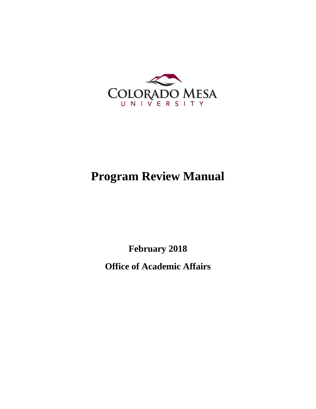

# **Program Review Manual**

**February 2018**

**Office of Academic Affairs**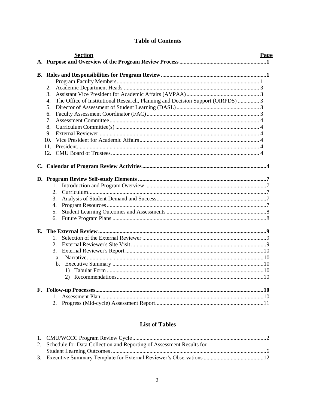| <b>Section</b>                                                                        | <b>Page</b> |
|---------------------------------------------------------------------------------------|-------------|
|                                                                                       |             |
| 1.                                                                                    |             |
| 2.                                                                                    |             |
| 3.                                                                                    |             |
| The Office of Institutional Research, Planning and Decision Support (OIRPDS)  3<br>4. |             |
| 5.                                                                                    |             |
| 6.                                                                                    |             |
| 7.                                                                                    |             |
| 8.                                                                                    |             |
| 9.                                                                                    |             |
| 10 <sub>1</sub>                                                                       |             |
| 11.                                                                                   |             |
| 12.                                                                                   |             |
| 1.<br>2.<br>3.<br>4.<br>5.<br>6.                                                      |             |
|                                                                                       |             |
| $\mathbf{1}$ .                                                                        |             |
| $\overline{2}$ .                                                                      |             |
| 3.                                                                                    |             |
| a <sub>z</sub>                                                                        |             |
| $\mathbf{b}$ .                                                                        |             |
| $\left( \right)$                                                                      |             |
| 2)                                                                                    |             |
|                                                                                       |             |
| $\mathbf{1}$                                                                          |             |
| 2.                                                                                    |             |

# **Table of Contents**

# **List of Tables**

| 2. Schedule for Data Collection and Reporting of Assessment Results for |  |
|-------------------------------------------------------------------------|--|
|                                                                         |  |
|                                                                         |  |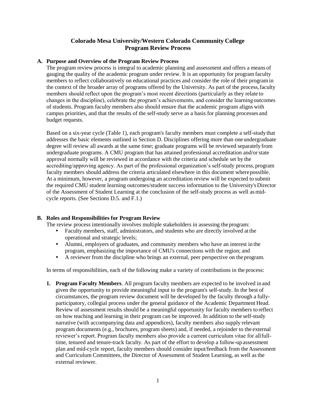## **Colorado Mesa University/Western Colorado Community College Program Review Process**

#### <span id="page-2-0"></span>**A. Purpose and Overview of the Program Review Process**

The program review process is integral to academic planning and assessment and offers a means of gauging the quality of the academic program under review. It is an opportunity for program faculty members to reflect collaboratively on educational practices and consider the role of their programin the context of the broader array of programs offered by the University. As part of the process,faculty members should reflect upon the program's most recent directions (particularly as they relate to changes in the discipline), celebrate the program's achievements, and consider the learningoutcomes of students. Program faculty members also should ensure that the academic program aligns with campus priorities, and that the results of the self-study serve as a basis for planning processes and budget requests.

Based on a six-year cycle (Table 1), each program's faculty members must complete a self-studythat addresses the basic elements outlined in Section D. Disciplines offering more than oneundergraduate degree will review all awards at the same time; graduate programs will be reviewed separately from undergraduate programs. A CMU program that has attained professional accreditation and/orstate approval normally will be reviewed in accordance with the criteria and schedule set by the accrediting/approving agency. As part of the professional organization's self-study process, program faculty members should address the criteria articulated elsewhere in this document wherepossible. At a minimum, however, a program undergoing an accreditation review will be expected to submit the required CMU student learning outcomes/student success information to the University's Director of the Assessment of Student Learning at the conclusion of the self-study process as well asmidcycle reports. (See Sections D.5. and F.1.)

#### <span id="page-2-1"></span>**B. Roles and Responsibilities for Program Review**

The review process intentionally involves multiple stakeholders in assessing the program:

- Faculty members, staff, administrators, and students who are directly involved at the operational and strategic levels;
- Alumni, employers of graduates, and community members who have an interest in the program, emphasizing the importance of CMU's connections with the region; and
- A reviewer from the discipline who brings an external, peer perspective on theprogram.

In terms of responsibilities, each of the following make a variety of contributions in the process:

**1. Program Faculty Members**. All program faculty members are expected to be involved in and given the opportunity to provide meaningful input to the program's self-study. In the best of circumstances, the program review document will be developed by the faculty through a fullyparticipatory, collegial process under the general guidance of the Academic Department Head. Review of assessment results should be a meaningful opportunity for faculty members to reflect on how teaching and learning in their program can be improved. In addition to the self-study narrative (with accompanying data and appendices), faculty members also supply relevant program documents (e.g., brochures, program sheets) and, if needed, a rejoinder to the external reviewer's report. Program faculty members also provide a current curriculum vitae for allfulltime, tenured and tenure-track faculty. As part of the effort to develop a follow-up assessment plan and mid-cycle report, faculty members should consider input/feedback from the Assessment and Curriculum Committees, the Director of Assessment of Student Learning, as well asthe external reviewer.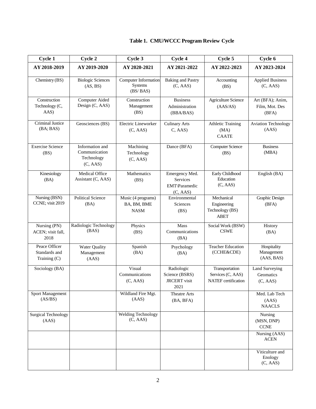# **Table 1. CMU/WCCC Program Review Cycle**

| Cycle 1                                          | Cycle 2                                                    | Cycle 3                                          | Cycle 4                                                     | Cycle 5                                                    | Cycle 6                                     |
|--------------------------------------------------|------------------------------------------------------------|--------------------------------------------------|-------------------------------------------------------------|------------------------------------------------------------|---------------------------------------------|
| AY 2018-2019                                     | AY 2019-2020                                               | AY 2020-2021                                     | AY 2021-2022                                                | AY 2022-2023                                               | AY 2023-2024                                |
| Chemistry (BS)                                   | <b>Biologic Sciences</b><br>(AS, BS)                       | Computer Information<br>Systems<br>(BS/ BAS)     | <b>Baking and Pastry</b><br>(C, AAS)                        | Accounting<br>(BS)                                         | <b>Applied Business</b><br>(C, AAS)         |
| Construction<br>Technology (C,<br>AAS)           | Computer Aided<br>Design (C, AAS)                          | Construction<br>Management<br>(BS)               | <b>Business</b><br>Administration<br>(BBA/BAS)              | <b>Agriculture Science</b><br>(AAS/AS)                     | Art (BFA); Anim,<br>Film, Mot. Des<br>(BFA) |
| Criminal Justice<br>(BA; BAS)                    | Geosciences (BS)                                           | <b>Electric Lineworker</b><br>(C, AAS)           | <b>Culinary Arts</b><br>C, AAS                              | <b>Athletic Training</b><br>(MA)<br><b>CAATE</b>           | <b>Aviation Technology</b><br>(AAS)         |
| <b>Exercise Science</b><br>(BS)                  | Information and<br>Communication<br>Technology<br>(C, AAS) | Machining<br>Technology<br>(C, AAS)              | Dance (BFA)                                                 | Computer Science<br>(BS)                                   | <b>Business</b><br>(MBA)                    |
| Kinesiology<br>(BA)                              | Medical Office<br>Assistant (C, AAS)                       | Mathematics<br>(BS)                              | Emergency Med.<br>Services<br>EMT\Paramedic<br>(C, AAS)     | Early Childhood<br>Education<br>(C, AAS)                   | English (BA)                                |
| Nursing (BSN)<br>CCNE; visit 2019                | <b>Political Science</b><br>(BA)                           | Music (4 programs)<br>BA, BM, BME<br><b>NASM</b> | Environmental<br>Sciences<br>(BS)                           | Mechanical<br>Engineering<br>Technology (BS)<br>ABET       | <b>Graphic Design</b><br>(BFA)              |
| Nursing (PN)<br>ACEN; visit fall,<br>2018        | Radiologic Technology<br>(BAS)                             | Physics<br>(BS)                                  | <b>Mass</b><br>Communications<br>(BA)                       | Social Work (BSW)<br><b>CSWE</b>                           | History<br>(BA)                             |
| Peace Officer<br>Standards and<br>Training $(C)$ | Water Quality<br>Management<br>(AdS)                       | Spanish<br>(BA)                                  | Psychology<br>(BA)                                          | <b>Teacher Education</b><br>(CCHE&CDE)                     | Hospitality<br>Management<br>(AAS, BAS)     |
| Sociology (BA)                                   |                                                            | Visual<br>Communications<br>(C, AAS)             | Radiologic<br>Science (BSRS)<br><b>JRCERT</b> visit<br>2021 | Transportation<br>Services (C, AAS)<br>NATEF certification | Land Surveying<br>Geomatics<br>(C, AAS)     |
| <b>Sport Management</b><br>(AS/BS)               |                                                            | Wildland Fire Mgt.<br>(AdS)                      | <b>Theatre Arts</b><br>(BA, BFA)                            |                                                            | Med. Lab Tech<br>(AAS)<br><b>NAACLS</b>     |
| <b>Surgical Technology</b><br>(AdS)              |                                                            | <b>Welding Technology</b><br>(C, AAS)            |                                                             |                                                            | Nursing<br>(MSN, DNP)<br><b>CCNE</b>        |
|                                                  |                                                            |                                                  |                                                             |                                                            | Nursing (AAS)<br><b>ACEN</b>                |
|                                                  |                                                            |                                                  |                                                             |                                                            | Viticulture and<br>Enology<br>(C, AAS)      |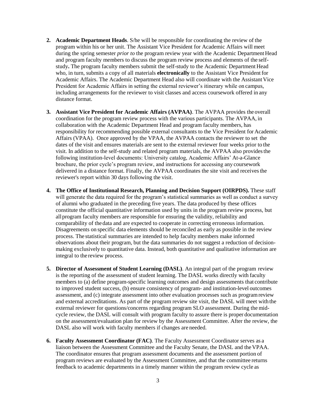- **2. Academic Department Heads**. S/he will be responsible for coordinating the review of the program within his or her unit. The Assistant Vice President for Academic Affairs will meet during the spring semester *prior to* the program review year with the Academic Department Head and program faculty members to discuss the program review process and elements of the selfstudy**.** The program faculty members submit the self-study to the Academic Department Head who, in turn, submits a copy of all materials **electronically** to the Assistant Vice President for Academic Affairs. The Academic Department Head also will coordinate with the Assistant Vice President for Academic Affairs in setting the external reviewer's itinerary while on campus, including arrangements for the reviewer to visit classes and access coursework offered in any distance format.
- **3. Assistant Vice President for Academic Affairs (AVPAA)**. The AVPAA provides the overall coordination for the program review process with the various participants. The AVPAA, in collaboration with the Academic Department Head and program faculty members, has responsibility for recommending possible external consultants to the Vice President for Academic Affairs (VPAA). Once approved by the VPAA, the AVPAA contacts the reviewer to set the dates of the visit and ensures materials are sent to the external reviewer four weeks prior to the visit. In addition to the self-study and related program materials, the AVPAA also providesthe following institution-level documents: University catalog, Academic Affairs' At-a-Glance brochure, the prior cycle's program review, and instructions for accessing any coursework delivered in a distance format. Finally, the AVPAA coordinates the site visit and receivesthe reviewer's report within 30 days following the visit.
- **4. The Office of Institutional Research, Planning and Decision Support (OIRPDS).** These staff will generate the data required for the program's statistical summaries as well as conduct a survey of alumni who graduated in the preceding five years. The data produced by these offices constitute the official quantitative information used by units in the program review process, but all program faculty members are responsible for ensuring the validity, reliability and comparability of thedata and are expected to cooperate in correcting erroneous information. Disagreements on specific data elements should be reconciled as early as possible in the review process. The statistical summaries are intended to help faculty members make informed observations about their program, but the data summaries do not suggest a reduction of decisionmaking exclusively to quantitative data. Instead, both quantitative and qualitative information are integral to the review process.
- **5. Director of Assessment of Student Learning (DASL)**. An integral part of the program review is the reporting of the assessment of student learning. The DASL works directly with faculty members to (a) define program-specific learning outcomes and design assessments that contribute to improved student success, (b) ensure consistency of program- and institution-level outcomes assessment, and (c) integrate assessment into other evaluation processes such as programreview and external accreditations. As part of the program review site visit, the DASL will meet with the external reviewer for questions/concerns regarding program SLO assessment. During the midcycle review, the DASL will consult with program faculty to assure there is proper documentation on the assessment/evaluation plan for review by the Assessment Committee. After the review, the DASL also will work with faculty members if changes are needed.
- **6. Faculty Assessment Coordinator (FAC)**. The Faculty Assessment Coordinator serves as a liaison between the Assessment Committee and the Faculty Senate, the DASL and theVPAA. The coordinator ensures that program assessment documents and the assessment portion of program reviews are evaluated by the Assessment Committee, and that the committee returns feedback to academic departments in a timely manner within the program review cycle as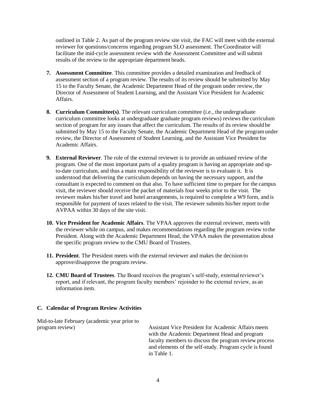outlined in Table 2. As part of the program review site visit, the FAC will meet with the external reviewer for questions/concerns regarding program SLO assessment. TheCoordinator will facilitate the mid-cycle assessment review with the Assessment Committee and willsubmit results of the review to the appropriate department heads.

- **7. Assessment Committee**. This committee provides a detailed examination and feedback of assessment section of a program review. The results of its review should be submitted by May 15 to the Faculty Senate, the Academic Department Head of the program under review, the Director of Assessment of Student Learning, and the Assistant Vice President for Academic Affairs.
- **8. Curriculum Committee(s)**. The relevant curriculum committee (i.e., the undergraduate curriculum committee looks at undergraduate graduate program reviews) reviews the curriculum section of program for any issues that affect the curriculum. The results of its review should be submitted by May 15 to the Faculty Senate, the Academic Department Head of the programunder review, the Director of Assessment of Student Learning, and the Assistant Vice President for Academic Affairs.
- **9. External Reviewer**. The role of the external reviewer is to provide an unbiased review of the program. One of the most important parts of a quality program is having an appropriate and upto-date curriculum, and thus a main responsibility of the reviewer is to evaluate it. It is understood that delivering the curriculum depends on having the necessary support, and the consultant is expected to comment on that also. To have sufficient time to prepare for the campus visit, the reviewer should receive the packet of materials four weeks prior to the visit. The reviewer makes his/her travel and hotel arrangements, is required to complete a W9 form, and is responsible for payment of taxes related to the visit. The reviewer submits his/her report to the AVPAA within 30 days of the site visit.
- **10. Vice President for Academic Affairs**. The VPAA approves the external reviewer, meets with the reviewer while on campus, and makes recommendations regarding the program review tothe President. Along with the Academic Department Head, the VPAA makes the presentation about the specific program review to the CMU Board of Trustees.
- **11. President**. The President meets with the external reviewer and makes the decision to approve/disapprove the program review.
- **12. CMU Board of Trustees**. The Board receives the program's self-study, externalreviewer's report, and if relevant, the program faculty members' rejoinder to the external review, as an information item.

#### <span id="page-5-0"></span>**C. Calendar of Program Review Activities**

Mid-to-late February (academic year prior to

program review) Assistant Vice President for Academic Affairs meets with the Academic Department Head and program faculty members to discuss the program review process and elements of the self-study. Program cycle isfound in Table 1.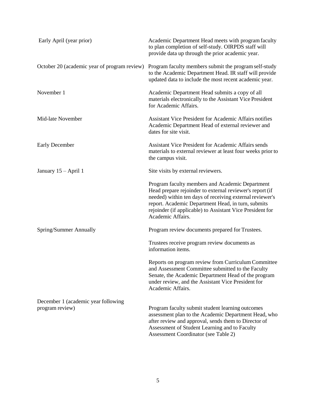| Early April (year prior)                     | Academic Department Head meets with program faculty<br>to plan completion of self-study. OIRPDS staff will<br>provide data up through the prior academic year.                                                                                                                                                  |
|----------------------------------------------|-----------------------------------------------------------------------------------------------------------------------------------------------------------------------------------------------------------------------------------------------------------------------------------------------------------------|
| October 20 (academic year of program review) | Program faculty members submit the program self-study<br>to the Academic Department Head. IR staff will provide<br>updated data to include the most recent academic year.                                                                                                                                       |
| November 1                                   | Academic Department Head submits a copy of all<br>materials electronically to the Assistant Vice President<br>for Academic Affairs.                                                                                                                                                                             |
| Mid-late November                            | <b>Assistant Vice President for Academic Affairs notifies</b><br>Academic Department Head of external reviewer and<br>dates for site visit.                                                                                                                                                                     |
| <b>Early December</b>                        | <b>Assistant Vice President for Academic Affairs sends</b><br>materials to external reviewer at least four weeks prior to<br>the campus visit.                                                                                                                                                                  |
| January 15 - April 1                         | Site visits by external reviewers.                                                                                                                                                                                                                                                                              |
|                                              | Program faculty members and Academic Department<br>Head prepare rejoinder to external reviewer's report (if<br>needed) within ten days of receiving external reviewer's<br>report. Academic Department Head, in turn, submits<br>rejoinder (if applicable) to Assistant Vice President for<br>Academic Affairs. |
| Spring/Summer Annually                       | Program review documents prepared for Trustees.                                                                                                                                                                                                                                                                 |
|                                              | Trustees receive program review documents as<br>information items.                                                                                                                                                                                                                                              |
|                                              | Reports on program review from Curriculum Committee<br>and Assessment Committee submitted to the Faculty<br>Senate, the Academic Department Head of the program<br>under review, and the Assistant Vice President for<br>Academic Affairs.                                                                      |
| December 1 (academic year following          |                                                                                                                                                                                                                                                                                                                 |
| program review)                              | Program faculty submit student learning outcomes<br>assessment plan to the Academic Department Head, who<br>after review and approval, sends them to Director of<br>Assessment of Student Learning and to Faculty<br>Assessment Coordinator (see Table 2)                                                       |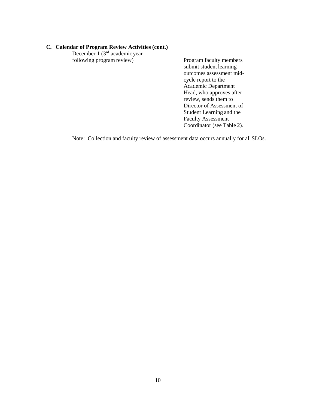#### **C. Calendar of Program Review Activities (cont.)**

December 1 (3<sup>rd</sup> academic year following program review) Program faculty members

submit student learning outcomes assessment midcycle report to the Academic Department Head, who approves after review, sends them to Director of Assessment of Student Learning and the Faculty Assessment Coordinator (see Table 2).

Note: Collection and faculty review of assessment data occurs annually for allSLOs.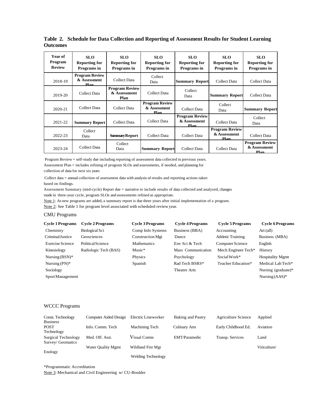| Year of<br>Program<br><b>Review</b> | <b>SLO</b><br><b>Reporting for</b><br>Programs in | <b>SLO</b><br><b>Reporting for</b><br>Programs in | SLO.<br><b>Reporting for</b><br>Programs in   | <b>SLO</b><br><b>Reporting for</b><br>Programs in | <b>SLO</b><br><b>Reporting for</b><br>Programs in | <b>SLO</b><br><b>Reporting for</b><br>Programs in |
|-------------------------------------|---------------------------------------------------|---------------------------------------------------|-----------------------------------------------|---------------------------------------------------|---------------------------------------------------|---------------------------------------------------|
| 2018-19                             | <b>Program Review</b><br>& Assessment<br>Plan     | Collect Data                                      | Collect<br>Data                               | <b>Summary Report</b>                             | Collect Data                                      | Collect Data                                      |
| 2019-20                             | Collect Data                                      | <b>Program Review</b><br>& Assessment<br>Plan     | Collect Data                                  | Collect<br>Data                                   | <b>Summary Report</b>                             | Collect Data                                      |
| 2020-21                             | <b>Collect Data</b>                               | Collect Data                                      | <b>Program Review</b><br>& Assessment<br>Plan | Collect Data                                      | Collect<br>Data                                   | <b>Summary Report</b>                             |
| 2021-22                             | <b>Summary Report</b>                             | Collect Data                                      | Collect Data                                  | <b>Program Review</b><br>& Assessment<br>Plan     | Collect Data                                      | Collect<br>Data                                   |
| 2022-23                             | Collect<br>Data                                   | <b>Summary Report</b>                             | Collect Data                                  | Collect Data                                      | <b>Program Review</b><br>& Assessment<br>Plan     | Collect Data                                      |
| 2023-24                             | <b>Collect Data</b>                               | Collect<br>Data                                   | <b>Summary Report</b>                         | Collect Data                                      | Collect Data                                      | <b>Program Review</b><br>& Assessment<br>Plan     |

**Table 2. Schedule for Data Collection and Reporting of Assessment Results for Student Learning Outcomes**

Program Review = self-study due including reporting of assessment data collected in previous years. Assessment Plan = includes refining of program SLOs and assessments, if needed, and planning for collection of data for next six years

 Collect data = annual collection of assessment data with analysis of results and reporting actions taken based on findings.

Assessment Summary (mid-cycle) Report due = narrative to include results of data collected and analyzed, changes made in three-year cycle, program SLOs and assessments refined as appropriate.

Note 1: As new programs are added, a summary report is due three years after initial implementation of a program.

Note 2: See Table 1 for program level associated with scheduled review year.

#### CMU Programs

| <b>Cycle 1 Programs</b> | <b>Cycle 2 Programs</b> | <b>Cycle 3 Programs</b> | <b>Cycle 4 Programs</b> | <b>Cycle 5 Programs</b>  | <b>Cycle 6 Programs</b> |
|-------------------------|-------------------------|-------------------------|-------------------------|--------------------------|-------------------------|
| Chemistry               | <b>Biological Sci</b>   | Comp Info Systems       | Business (BBA)          | Accounting               | Art (all)               |
| Criminal Justice        | Geosciences             | <b>Construction Mgt</b> | Dance                   | <b>Athletic Training</b> | Business (MBA)          |
| <b>Exercise Science</b> | Political Science       | <b>Mathematics</b>      | Env Sci & Tech          | Computer Science         | English                 |
| Kinesiology             | Radiologic Tech (BAS)   | Music*                  | Mass Communication      | Mech Engineer Tech*      | History                 |
| Nursing $(BSN)*$        |                         | Physics                 | Psychology              | Social Work*             | <b>Hospitality Mgmt</b> |
| Nursing $(PN)*$         |                         | Spanish                 | Rad Tech BSRS*          | Teacher Education*       | Medical Lab Tech*       |
| Sociology               |                         |                         | Theatre Arts            |                          | Nursing (graduate)*     |
| Sport Management        |                         |                         |                         |                          | Nursing $(AdS)*$        |

#### WCCC Programs

| Const. Technology                        | Computer Aided Design     | Electric Lineworker       | Baking and Pastry    | Agriculture Science | Applied      |
|------------------------------------------|---------------------------|---------------------------|----------------------|---------------------|--------------|
| <b>Business</b><br>POST                  | Info. Comm. Tech          | Machining Tech            | <b>Culinary Arts</b> | Early Childhood Ed. | Aviation     |
| Technology                               |                           |                           |                      |                     |              |
| Surgical Technology<br>Survey/ Geomatics | Med. Off. Asst.           | Visual Comm               | EMT/Paramedic        | Transp. Services    | Land         |
|                                          | <b>Water Ouality Mgmt</b> | Wildland Fire Mgt         |                      |                     | Viticulture/ |
| Enology                                  |                           | <b>Welding Technology</b> |                      |                     |              |

\*Programmatic Accreditation Note 3: Mechanical and Civil Engineering w/ CU-Boulder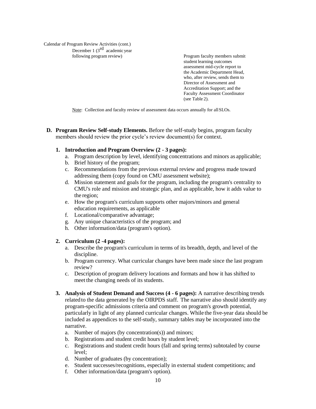Calendar of Program Review Activities (cont.) December 1  $(3<sup>rd</sup>$  academic year

following program review) Program faculty members submit student learning outcomes assessment mid-cycle report to the Academic Department Head, who, after review, sends them to Director of Assessment and Accreditation Support; and the Faculty Assessment Coordinator (see Table 2).

Note: Collection and faculty review of assessment data occurs annually for allSLOs.

**D. Program Review Self-study Elements.** Before the self-study begins, program faculty members should review the prior cycle's review document(s) for context.

#### **1. Introduction and Program Overview (2 - 3 pages):**

- a. Program description by level, identifying concentrations and minors as applicable;
- b. Brief history of the program;
- c. Recommendations from the previous external review and progress made toward addressing them (copy found on CMU assessment website);
- d. Mission statement and goals for the program, including the program's centrality to CMU's role and mission and strategic plan, and as applicable, how it adds value to the region;
- e. How the program's curriculum supports other majors/minors and general education requirements, as applicable
- f. Locational/comparative advantage;
- g. Any unique characteristics of the program; and
- h. Other information/data (program's option).

#### **2. Curriculum (2 -4 pages):**

- a. Describe the program's curriculum in terms of its breadth, depth, and level of the discipline.
- b. Program currency. What curricular changes have been made since the last program review?
- c. Description of program delivery locations and formats and how it has shifted to meet the changing needs of its students.
- **3. Analysis of Student Demand and Success (4 - 6 pages):** A narrative describing trends related to the data generated by the OIRPDS staff. The narrative also should identify any program-specific admissions criteria and comment on program's growth potential, particularly in light of any planned curricular changes. While the five-year data should be included as appendices to the self-study, summary tables may be incorporated into the narrative.
	- a. Number of majors (by concentration(s)) and minors;
	- b. Registrations and student credit hours by student level;
	- c. Registrations and student credit hours (fall and spring terms) subtotaled by course level;
	- d. Number of graduates (by concentration);
	- e. Student successes/recognitions, especially in external student competitions; and
	- f. Other information/data (program's option).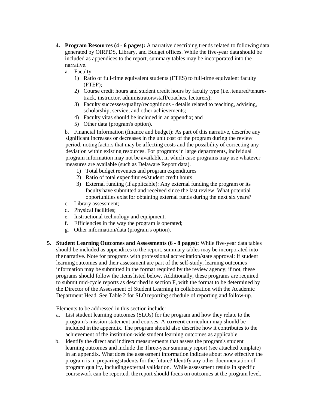- **4. Program Resources (4 - 6 pages):** A narrative describing trends related to following data generated by OIRPDS, Library, and Budget offices. While the five-year data should be included as appendices to the report, summary tables may be incorporated into the narrative.
	- a. Faculty
		- 1) Ratio of full-time equivalent students (FTES) to full-time equivalent faculty (FTEF);
		- 2) Course credit hours and student credit hours by faculty type (i.e.,tenured/tenuretrack, instructor, administrators/staff/coaches, lecturers);
		- 3) Faculty successes/quality/recognitions details related to teaching, advising, scholarship, service, and other achievements;
		- 4) Faculty vitas should be included in an appendix; and
		- 5) Other data (program's option).

b. Financial Information (finance and budget): As part of this narrative, describe any significant increases or decreases in the unit cost of the program during the review period, notingfactors that may be affecting costs and the possibility of correcting any deviation within existing resources. For programs in large departments, individual program information may not be available, in which case programs may use whatever measures are available (such as Delaware Report data).

- 1) Total budget revenues and program expenditures
- 2) Ratio of total expenditures/student credit hours
- 3) External funding (if applicable): Any external funding the program or its faculty have submitted and received since the last review. What potential opportunities exist for obtaining external funds during the next six years?
- c. Library assessment;
- d. Physical facilities;
- e. Instructional technology and equipment;
- f. Efficiencies in the way the program is operated;
- g. Other information/data (program's option).
- **5. Student Learning Outcomes and Assessments (6 - 8 pages):** While five-year data tables should be included as appendices to the report, summary tables may be incorporated into thenarrative. Note for programs with professional accreditation/state approval: If student learning outcomes and their assessment are part of the self-study, learning outcomes information may be submitted in the format required by the review agency; if not, these programs should follow the itemslisted below. Additionally, these programs are required to submit mid-cycle reports as described in section F, with the format to be determined by the Director of the Assessment of Student Learning in collaboration with the Academic Department Head. See Table 2 for SLO reporting schedule of reporting and follow-up.

Elements to be addressed in this section include:

- a. List student learning outcomes (SLOs) for the program and how they relate to the program's mission statement and courses. A **current** curriculum map should be included in the appendix. The program should also describe how it contributes to the achievement of the institution-wide student learning outcomes as applicable.
- b. Identify the direct and indirect measurements that assess the program's student learning outcomes and include the Three-year summary report (see attached template) in an appendix. What does the assessment information indicate about how effective the program is in preparing students for the future? Identify any other documentation of program quality, including external validation. While assessment results in specific coursework can be reported, the report should focus on outcomes at the program level.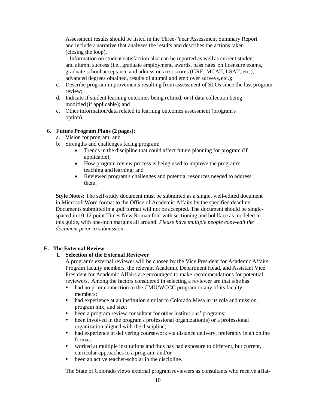Assessment results should be listed in the Three- Year Assessment Summary Report and include a narrative that analyzes the results and describes the actions taken (closing the loop).

 Information on student satisfaction also can be reported as well as current student and alumni success (i.e., graduate employment, awards, pass rates on licensure exams, graduate school acceptance and admissions test scores (GRE, MCAT, LSAT, etc.), advanced degrees obtained, results of alumni and employer surveys, etc.);

- c. Describe program improvements resulting from assessment of SLOs since the last program review;
- d. Indicate if student learning outcomes being refined, or if data collection being modified (if applicable); and
- e. Other information/data related to learning outcomes assessment (program's option).

#### **6. Future Program Plans (2 pages):**

- a. Vision for program; and
- b. Strengths and challenges facing program:
	- Trends in the discipline that could affect future planning for program (if applicable);
	- How program review process is being used to improve the program's teaching and learning; and
	- Reviewed program's challenges and potential resources needed to address them.

**Style Notes:** The self-study document must be submitted as a single, well-edited document in MicrosoftWord format to the Office of Academic Affairs by the specified deadline. Documents submittedin a .pdf format will not be accepted. The document should be singlespaced in 10-12 point Times New Roman font with sectioning and boldface as modeled in this guide, with one-inch margins all around. *Please have multiple people copy-edit the document prior to submission.* 

#### <span id="page-11-1"></span><span id="page-11-0"></span>**E. The External Review**

#### **1. Selection of the External Reviewer**

A program's external reviewer will be chosen by the Vice President for Academic Affairs. Program faculty members, the relevant Academic Department Head, and Assistant Vice President for Academic Affairs are encouraged to make recommendations for potential reviewers. Among the factors considered in selecting a reviewer are that s/he has:

- had no prior connection to the CMU/WCCC program or any of its faculty members;
- had experience at an institution similar to Colorado Mesa in its role and mission, program mix, and size;
- been a program review consultant for other institutions' programs;
- been involved in the program's professional organization(s) or a professional organization aligned with the discipline;
- had experience in delivering coursework via distance delivery, preferably in an online format;
- worked at multiple institutions and thus has had exposure to different, but current, curricular approaches to a program; and/or
- been an active teacher-scholar in the discipline.

The State of Colorado views external program reviewers as consultants who receive a flat-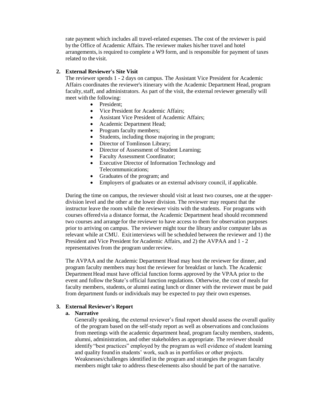rate payment which includes all travel-related expenses. The cost of the reviewer is paid by the Office of Academic Affairs. The reviewer makes his/her travel and hotel arrangements, is required to complete a W9 form, and is responsible for payment of taxes related to the visit.

#### <span id="page-12-0"></span>**2. External Reviewer's Site Visit**

The reviewer spends 1 - 2 days on campus. The Assistant Vice President for Academic Affairs coordinates the reviewer's itinerary with the Academic Department Head, program faculty,staff, and administrators. As part of the visit, the external reviewer generally will meet with the following:

- President:
- Vice President for Academic Affairs:
- Assistant Vice President of Academic Affairs;
- Academic Department Head;
- Program faculty members;
- Students, including those majoring in the program;
- Director of Tomlinson Library;
- Director of Assessment of Student Learning;
- Faculty Assessment Coordinator;
- Executive Director of Information Technology and Telecommunications;
- Graduates of the program; and
- Employers of graduates or an external advisory council, if applicable.

During the time on campus, the reviewer should visit at least two courses, one at the upperdivision level and the other at the lower division. The reviewer may request that the instructor leave the room while the reviewer visits with the students. For programs with courses offeredvia a distance format, the Academic Department head should recommend two courses and arrange for the reviewer to have access to them for observation purposes prior to arriving on campus. The reviewer might tour the library and/or computer labs as relevant while at CMU. Exitinterviews will be scheduled between the reviewer and 1) the President and Vice President for Academic Affairs, and 2) the AVPAA and 1 - 2 representatives from the program underreview.

The AVPAA and the Academic Department Head may host the reviewer for dinner, and program faculty members may host the reviewer for breakfast or lunch. The Academic Department Head must have official function forms approved by the VPAA prior to the event and follow theState's official function regulations. Otherwise, the cost of meals for faculty members, students, or alumni eating lunch or dinner with the reviewer must be paid from department funds or individuals may be expected to pay their own expenses.

#### <span id="page-12-2"></span><span id="page-12-1"></span>**3. External Reviewer's Report**

#### **a. Narrative**

Generally speaking, the external reviewer's final report should assess the overall quality of the program based on the self-study report as well as observations and conclusions from meetings with the academic department head, program faculty members, students, alumni, administration, and other stakeholders as appropriate. The reviewer should identify "best practices" employed by the program as well evidence of student learning and quality foundin students' work, such as in portfolios or other projects. Weaknesses/challenges identified in the program and strategies the program faculty members might take to address these elements also should be part of the narrative.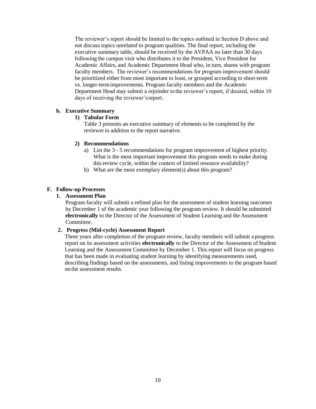The reviewer's report should be limited to the topics outlined in Section D above and not discuss topics unrelated to program qualities. The final report, including the executive summary table, should be received by the AVPAA no later than 30 days following the campus visit who distributes it to the President, Vice President for Academic Affairs, and Academic Department Head who, in turn, shares with program faculty members. The reviewer's recommendations for program improvement should be prioritized either from most important to least, or grouped according to short-term vs. longer-termimprovements. Program faculty members and the Academic Department Head may submit a rejoinder to the reviewer's report, if desired, within 10 days of receiving the reviewer'sreport.

## <span id="page-13-1"></span><span id="page-13-0"></span>**b. Executive Summary**

#### **1) Tabular Form**

Table 3 presents an executive summary of elements to be completed by the reviewerin addition to the report narrative.

#### <span id="page-13-2"></span>**2) Recommendations**

- a) List the 3 5 recommendations for program improvement of highest priority. What is the most important improvement this program needs to make during this review cycle, within the context of limited resource availability?
- b) What are the most exemplary element(s) about this program?

#### <span id="page-13-4"></span><span id="page-13-3"></span>**F. Follow-up Processes**

#### **1. Assessment Plan**

Program faculty will submit a refined plan for the assessment of student learning outcomes by December 1 of the academic year following the program review. It should be submitted **electronically** to the Director of the Assessment of Student Learning and the Assessment Committee.

#### <span id="page-13-5"></span>**2. Progress (Mid-cycle) Assessment Report**

Three years after completion of the program review, faculty members will submit a progress report on its assessment activities **electronically** to the Director of the Assessment of Student Learning and the Assessment Committee by December 1. This report will focus on progress that has been made in evaluating student learning by identifying measurements used, describing findings based on the assessments, and listing improvements to the program based on the assessment results.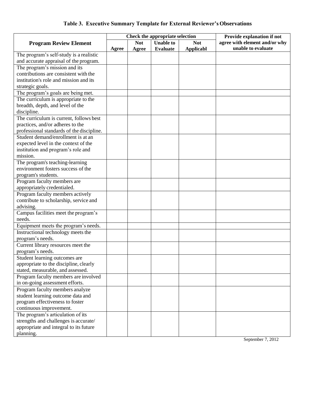# **Table 3. Executive Summary Template for External Reviewer's Observations**

| agree with element and/or why<br><b>Not</b><br><b>Unable to</b><br><b>Not</b><br><b>Program Review Element</b><br>unable to evaluate<br><b>Evaluate</b><br><b>Applicabl</b><br>Agree<br>Agree<br>The program's self-study is a realistic<br>and accurate appraisal of the program.<br>The program's mission and its<br>contributions are consistent with the<br>institution's role and mission and its<br>strategic goals.<br>The program's goals are being met.<br>The curriculum is appropriate to the<br>breadth, depth, and level of the<br>discipline.<br>The curriculum is current, follows best<br>practices, and/or adheres to the<br>professional standards of the discipline.<br>Student demand/enrollment is at an<br>expected level in the context of the<br>institution and program's role and<br>mission.<br>The program's teaching-learning<br>environment fosters success of the<br>program's students.<br>Program faculty members are<br>appropriately credentialed.<br>Program faculty members actively<br>contribute to scholarship, service and<br>advising.<br>Campus facilities meet the program's<br>needs.<br>Equipment meets the program's needs.<br>Instructional technology meets the<br>program's needs.<br>Current library resources meet the<br>program's needs.<br>Student learning outcomes are<br>appropriate to the discipline, clearly<br>stated, measurable, and assessed.<br>Program faculty members are involved<br>in on-going assessment efforts.<br>Program faculty members analyze<br>student learning outcome data and |                                 | Check the appropriate selection |  |  |  | Provide explanation if not |
|-------------------------------------------------------------------------------------------------------------------------------------------------------------------------------------------------------------------------------------------------------------------------------------------------------------------------------------------------------------------------------------------------------------------------------------------------------------------------------------------------------------------------------------------------------------------------------------------------------------------------------------------------------------------------------------------------------------------------------------------------------------------------------------------------------------------------------------------------------------------------------------------------------------------------------------------------------------------------------------------------------------------------------------------------------------------------------------------------------------------------------------------------------------------------------------------------------------------------------------------------------------------------------------------------------------------------------------------------------------------------------------------------------------------------------------------------------------------------------------------------------------------------------------------------------------------|---------------------------------|---------------------------------|--|--|--|----------------------------|
|                                                                                                                                                                                                                                                                                                                                                                                                                                                                                                                                                                                                                                                                                                                                                                                                                                                                                                                                                                                                                                                                                                                                                                                                                                                                                                                                                                                                                                                                                                                                                                   |                                 |                                 |  |  |  |                            |
|                                                                                                                                                                                                                                                                                                                                                                                                                                                                                                                                                                                                                                                                                                                                                                                                                                                                                                                                                                                                                                                                                                                                                                                                                                                                                                                                                                                                                                                                                                                                                                   |                                 |                                 |  |  |  |                            |
|                                                                                                                                                                                                                                                                                                                                                                                                                                                                                                                                                                                                                                                                                                                                                                                                                                                                                                                                                                                                                                                                                                                                                                                                                                                                                                                                                                                                                                                                                                                                                                   |                                 |                                 |  |  |  |                            |
|                                                                                                                                                                                                                                                                                                                                                                                                                                                                                                                                                                                                                                                                                                                                                                                                                                                                                                                                                                                                                                                                                                                                                                                                                                                                                                                                                                                                                                                                                                                                                                   |                                 |                                 |  |  |  |                            |
|                                                                                                                                                                                                                                                                                                                                                                                                                                                                                                                                                                                                                                                                                                                                                                                                                                                                                                                                                                                                                                                                                                                                                                                                                                                                                                                                                                                                                                                                                                                                                                   |                                 |                                 |  |  |  |                            |
|                                                                                                                                                                                                                                                                                                                                                                                                                                                                                                                                                                                                                                                                                                                                                                                                                                                                                                                                                                                                                                                                                                                                                                                                                                                                                                                                                                                                                                                                                                                                                                   |                                 |                                 |  |  |  |                            |
|                                                                                                                                                                                                                                                                                                                                                                                                                                                                                                                                                                                                                                                                                                                                                                                                                                                                                                                                                                                                                                                                                                                                                                                                                                                                                                                                                                                                                                                                                                                                                                   |                                 |                                 |  |  |  |                            |
|                                                                                                                                                                                                                                                                                                                                                                                                                                                                                                                                                                                                                                                                                                                                                                                                                                                                                                                                                                                                                                                                                                                                                                                                                                                                                                                                                                                                                                                                                                                                                                   |                                 |                                 |  |  |  |                            |
|                                                                                                                                                                                                                                                                                                                                                                                                                                                                                                                                                                                                                                                                                                                                                                                                                                                                                                                                                                                                                                                                                                                                                                                                                                                                                                                                                                                                                                                                                                                                                                   |                                 |                                 |  |  |  |                            |
|                                                                                                                                                                                                                                                                                                                                                                                                                                                                                                                                                                                                                                                                                                                                                                                                                                                                                                                                                                                                                                                                                                                                                                                                                                                                                                                                                                                                                                                                                                                                                                   |                                 |                                 |  |  |  |                            |
|                                                                                                                                                                                                                                                                                                                                                                                                                                                                                                                                                                                                                                                                                                                                                                                                                                                                                                                                                                                                                                                                                                                                                                                                                                                                                                                                                                                                                                                                                                                                                                   |                                 |                                 |  |  |  |                            |
|                                                                                                                                                                                                                                                                                                                                                                                                                                                                                                                                                                                                                                                                                                                                                                                                                                                                                                                                                                                                                                                                                                                                                                                                                                                                                                                                                                                                                                                                                                                                                                   |                                 |                                 |  |  |  |                            |
|                                                                                                                                                                                                                                                                                                                                                                                                                                                                                                                                                                                                                                                                                                                                                                                                                                                                                                                                                                                                                                                                                                                                                                                                                                                                                                                                                                                                                                                                                                                                                                   |                                 |                                 |  |  |  |                            |
|                                                                                                                                                                                                                                                                                                                                                                                                                                                                                                                                                                                                                                                                                                                                                                                                                                                                                                                                                                                                                                                                                                                                                                                                                                                                                                                                                                                                                                                                                                                                                                   |                                 |                                 |  |  |  |                            |
|                                                                                                                                                                                                                                                                                                                                                                                                                                                                                                                                                                                                                                                                                                                                                                                                                                                                                                                                                                                                                                                                                                                                                                                                                                                                                                                                                                                                                                                                                                                                                                   |                                 |                                 |  |  |  |                            |
|                                                                                                                                                                                                                                                                                                                                                                                                                                                                                                                                                                                                                                                                                                                                                                                                                                                                                                                                                                                                                                                                                                                                                                                                                                                                                                                                                                                                                                                                                                                                                                   |                                 |                                 |  |  |  |                            |
|                                                                                                                                                                                                                                                                                                                                                                                                                                                                                                                                                                                                                                                                                                                                                                                                                                                                                                                                                                                                                                                                                                                                                                                                                                                                                                                                                                                                                                                                                                                                                                   |                                 |                                 |  |  |  |                            |
|                                                                                                                                                                                                                                                                                                                                                                                                                                                                                                                                                                                                                                                                                                                                                                                                                                                                                                                                                                                                                                                                                                                                                                                                                                                                                                                                                                                                                                                                                                                                                                   |                                 |                                 |  |  |  |                            |
|                                                                                                                                                                                                                                                                                                                                                                                                                                                                                                                                                                                                                                                                                                                                                                                                                                                                                                                                                                                                                                                                                                                                                                                                                                                                                                                                                                                                                                                                                                                                                                   |                                 |                                 |  |  |  |                            |
|                                                                                                                                                                                                                                                                                                                                                                                                                                                                                                                                                                                                                                                                                                                                                                                                                                                                                                                                                                                                                                                                                                                                                                                                                                                                                                                                                                                                                                                                                                                                                                   |                                 |                                 |  |  |  |                            |
|                                                                                                                                                                                                                                                                                                                                                                                                                                                                                                                                                                                                                                                                                                                                                                                                                                                                                                                                                                                                                                                                                                                                                                                                                                                                                                                                                                                                                                                                                                                                                                   |                                 |                                 |  |  |  |                            |
|                                                                                                                                                                                                                                                                                                                                                                                                                                                                                                                                                                                                                                                                                                                                                                                                                                                                                                                                                                                                                                                                                                                                                                                                                                                                                                                                                                                                                                                                                                                                                                   |                                 |                                 |  |  |  |                            |
|                                                                                                                                                                                                                                                                                                                                                                                                                                                                                                                                                                                                                                                                                                                                                                                                                                                                                                                                                                                                                                                                                                                                                                                                                                                                                                                                                                                                                                                                                                                                                                   |                                 |                                 |  |  |  |                            |
|                                                                                                                                                                                                                                                                                                                                                                                                                                                                                                                                                                                                                                                                                                                                                                                                                                                                                                                                                                                                                                                                                                                                                                                                                                                                                                                                                                                                                                                                                                                                                                   |                                 |                                 |  |  |  |                            |
|                                                                                                                                                                                                                                                                                                                                                                                                                                                                                                                                                                                                                                                                                                                                                                                                                                                                                                                                                                                                                                                                                                                                                                                                                                                                                                                                                                                                                                                                                                                                                                   |                                 |                                 |  |  |  |                            |
|                                                                                                                                                                                                                                                                                                                                                                                                                                                                                                                                                                                                                                                                                                                                                                                                                                                                                                                                                                                                                                                                                                                                                                                                                                                                                                                                                                                                                                                                                                                                                                   |                                 |                                 |  |  |  |                            |
|                                                                                                                                                                                                                                                                                                                                                                                                                                                                                                                                                                                                                                                                                                                                                                                                                                                                                                                                                                                                                                                                                                                                                                                                                                                                                                                                                                                                                                                                                                                                                                   |                                 |                                 |  |  |  |                            |
|                                                                                                                                                                                                                                                                                                                                                                                                                                                                                                                                                                                                                                                                                                                                                                                                                                                                                                                                                                                                                                                                                                                                                                                                                                                                                                                                                                                                                                                                                                                                                                   |                                 |                                 |  |  |  |                            |
|                                                                                                                                                                                                                                                                                                                                                                                                                                                                                                                                                                                                                                                                                                                                                                                                                                                                                                                                                                                                                                                                                                                                                                                                                                                                                                                                                                                                                                                                                                                                                                   |                                 |                                 |  |  |  |                            |
|                                                                                                                                                                                                                                                                                                                                                                                                                                                                                                                                                                                                                                                                                                                                                                                                                                                                                                                                                                                                                                                                                                                                                                                                                                                                                                                                                                                                                                                                                                                                                                   |                                 |                                 |  |  |  |                            |
|                                                                                                                                                                                                                                                                                                                                                                                                                                                                                                                                                                                                                                                                                                                                                                                                                                                                                                                                                                                                                                                                                                                                                                                                                                                                                                                                                                                                                                                                                                                                                                   |                                 |                                 |  |  |  |                            |
|                                                                                                                                                                                                                                                                                                                                                                                                                                                                                                                                                                                                                                                                                                                                                                                                                                                                                                                                                                                                                                                                                                                                                                                                                                                                                                                                                                                                                                                                                                                                                                   |                                 |                                 |  |  |  |                            |
|                                                                                                                                                                                                                                                                                                                                                                                                                                                                                                                                                                                                                                                                                                                                                                                                                                                                                                                                                                                                                                                                                                                                                                                                                                                                                                                                                                                                                                                                                                                                                                   |                                 |                                 |  |  |  |                            |
|                                                                                                                                                                                                                                                                                                                                                                                                                                                                                                                                                                                                                                                                                                                                                                                                                                                                                                                                                                                                                                                                                                                                                                                                                                                                                                                                                                                                                                                                                                                                                                   |                                 |                                 |  |  |  |                            |
|                                                                                                                                                                                                                                                                                                                                                                                                                                                                                                                                                                                                                                                                                                                                                                                                                                                                                                                                                                                                                                                                                                                                                                                                                                                                                                                                                                                                                                                                                                                                                                   |                                 |                                 |  |  |  |                            |
|                                                                                                                                                                                                                                                                                                                                                                                                                                                                                                                                                                                                                                                                                                                                                                                                                                                                                                                                                                                                                                                                                                                                                                                                                                                                                                                                                                                                                                                                                                                                                                   |                                 |                                 |  |  |  |                            |
|                                                                                                                                                                                                                                                                                                                                                                                                                                                                                                                                                                                                                                                                                                                                                                                                                                                                                                                                                                                                                                                                                                                                                                                                                                                                                                                                                                                                                                                                                                                                                                   |                                 |                                 |  |  |  |                            |
|                                                                                                                                                                                                                                                                                                                                                                                                                                                                                                                                                                                                                                                                                                                                                                                                                                                                                                                                                                                                                                                                                                                                                                                                                                                                                                                                                                                                                                                                                                                                                                   |                                 |                                 |  |  |  |                            |
|                                                                                                                                                                                                                                                                                                                                                                                                                                                                                                                                                                                                                                                                                                                                                                                                                                                                                                                                                                                                                                                                                                                                                                                                                                                                                                                                                                                                                                                                                                                                                                   |                                 |                                 |  |  |  |                            |
|                                                                                                                                                                                                                                                                                                                                                                                                                                                                                                                                                                                                                                                                                                                                                                                                                                                                                                                                                                                                                                                                                                                                                                                                                                                                                                                                                                                                                                                                                                                                                                   |                                 |                                 |  |  |  |                            |
|                                                                                                                                                                                                                                                                                                                                                                                                                                                                                                                                                                                                                                                                                                                                                                                                                                                                                                                                                                                                                                                                                                                                                                                                                                                                                                                                                                                                                                                                                                                                                                   |                                 |                                 |  |  |  |                            |
|                                                                                                                                                                                                                                                                                                                                                                                                                                                                                                                                                                                                                                                                                                                                                                                                                                                                                                                                                                                                                                                                                                                                                                                                                                                                                                                                                                                                                                                                                                                                                                   |                                 |                                 |  |  |  |                            |
|                                                                                                                                                                                                                                                                                                                                                                                                                                                                                                                                                                                                                                                                                                                                                                                                                                                                                                                                                                                                                                                                                                                                                                                                                                                                                                                                                                                                                                                                                                                                                                   | program effectiveness to foster |                                 |  |  |  |                            |
| continuous improvement.                                                                                                                                                                                                                                                                                                                                                                                                                                                                                                                                                                                                                                                                                                                                                                                                                                                                                                                                                                                                                                                                                                                                                                                                                                                                                                                                                                                                                                                                                                                                           |                                 |                                 |  |  |  |                            |
| The program's articulation of its                                                                                                                                                                                                                                                                                                                                                                                                                                                                                                                                                                                                                                                                                                                                                                                                                                                                                                                                                                                                                                                                                                                                                                                                                                                                                                                                                                                                                                                                                                                                 |                                 |                                 |  |  |  |                            |
| strengths and challenges is accurate/                                                                                                                                                                                                                                                                                                                                                                                                                                                                                                                                                                                                                                                                                                                                                                                                                                                                                                                                                                                                                                                                                                                                                                                                                                                                                                                                                                                                                                                                                                                             |                                 |                                 |  |  |  |                            |
| appropriate and integral to its future                                                                                                                                                                                                                                                                                                                                                                                                                                                                                                                                                                                                                                                                                                                                                                                                                                                                                                                                                                                                                                                                                                                                                                                                                                                                                                                                                                                                                                                                                                                            |                                 |                                 |  |  |  |                            |
| planning.                                                                                                                                                                                                                                                                                                                                                                                                                                                                                                                                                                                                                                                                                                                                                                                                                                                                                                                                                                                                                                                                                                                                                                                                                                                                                                                                                                                                                                                                                                                                                         |                                 |                                 |  |  |  |                            |

September 7, 2012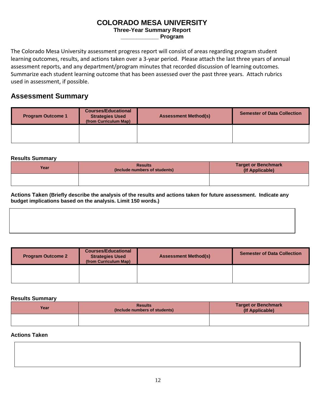# **COLORADO MESA UNIVERSITY**

## **Three-Year Summary Report**

**\_\_\_\_\_\_\_\_\_\_\_\_ Program**

The Colorado Mesa University assessment progress report will consist of areas regarding program student learning outcomes, results, and actions taken over a 3-year period. Please attach the last three years of annual assessment reports, and any department/program minutes that recorded discussion of learning outcomes. Summarize each student learning outcome that has been assessed over the past three years. Attach rubrics used in assessment, if possible.

# **Assessment Summary**

| <b>Program Outcome 1</b> | <b>Courses/Educational</b><br><b>Strategies Used</b><br>(from Curriculum Map) | <b>Assessment Method(s)</b> | <b>Semester of Data Collection</b> |
|--------------------------|-------------------------------------------------------------------------------|-----------------------------|------------------------------------|
|                          |                                                                               |                             |                                    |

## **Results Summary**

| Year | <b>Results</b><br>(Include numbers of students) | <b>Target or Benchmark</b><br>(If Applicable) |
|------|-------------------------------------------------|-----------------------------------------------|
|      |                                                 |                                               |

**Actions Taken (Briefly describe the analysis of the results and actions taken for future assessment. Indicate any budget implications based on the analysis. Limit 150 words.)**

| <b>Program Outcome 2</b> | <b>Courses/Educational</b><br><b>Strategies Used</b><br>(from Curriculum Map) | <b>Assessment Method(s)</b> | <b>Semester of Data Collection</b> |
|--------------------------|-------------------------------------------------------------------------------|-----------------------------|------------------------------------|
|                          |                                                                               |                             |                                    |

#### **Results Summary**

| Year | <b>Results</b><br>(Include numbers of students) | <b>Target or Benchmark</b><br>(If Applicable) |
|------|-------------------------------------------------|-----------------------------------------------|
|      |                                                 |                                               |

## **Actions Taken**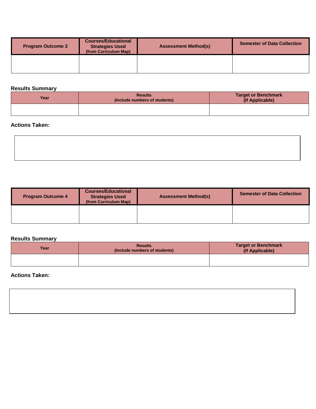| <b>Program Outcome 3</b> | <b>Courses/Educational</b><br><b>Strategies Used</b><br>(from Curriculum Map) | <b>Assessment Method(s)</b> | <b>Semester of Data Collection</b> |
|--------------------------|-------------------------------------------------------------------------------|-----------------------------|------------------------------------|
|                          |                                                                               |                             |                                    |

## **Results Summary**

| Year | <b>Results</b><br>(Include numbers of students) | <b>Target or Benchmark</b><br>(If Applicable) |
|------|-------------------------------------------------|-----------------------------------------------|
|      |                                                 |                                               |

## **Actions Taken:**

| <b>Program Outcome 4</b> | <b>Courses/Educational</b><br><b>Strategies Used</b><br>(from Curriculum Map) | <b>Assessment Method(s)</b> | <b>Semester of Data Collection</b> |
|--------------------------|-------------------------------------------------------------------------------|-----------------------------|------------------------------------|
|                          |                                                                               |                             |                                    |

## **Results Summary**

| Year | <b>Results</b><br>(Include numbers of students) | <b>Target or Benchmark</b><br>(If Applicable) |
|------|-------------------------------------------------|-----------------------------------------------|
|      |                                                 |                                               |

# **Actions Taken:**